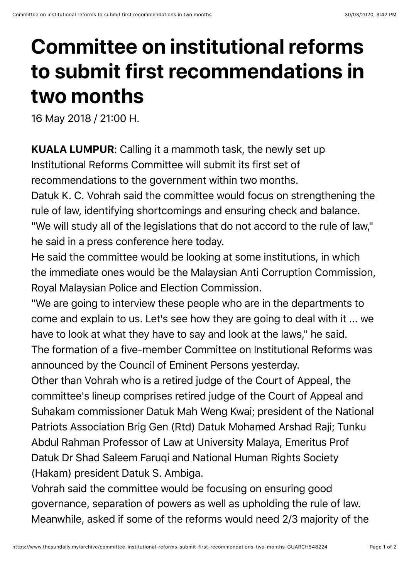## **Committee on institutional reforms to submit first recommendations in two months**

16 May 2018 / 21:00 H.

KUALA LUMPUR: Calling it a mammoth task, the newly set up Institutional Reforms Committee will submit its first set of recommendations to the government within two months.

Datuk K. C. Vohrah said the committee would focus on strengthening the rule of law, identifying shortcomings and ensuring check and balance. "We will study all of the legislations that do not accord to the rule of law," he said in a press conference here today.

He said the committee would be looking at some institutions, in which the immediate ones would be the Malaysian Anti Corruption Commission, Royal Malaysian Police and Election Commission.

"We are going to interview these people who are in the departments to come and explain to us. Let's see how they are going to deal with it ... we have to look at what they have to say and look at the laws," he said. The formation of a five-member Committee on Institutional Reforms was announced by the Council of Eminent Persons yesterday.

Other than Vohrah who is a retired judge of the Court of Appeal, the committee's lineup comprises retired judge of the Court of Appeal and Suhakam commissioner Datuk Mah Weng Kwai; president of the National Patriots Association Brig Gen (Rtd) Datuk Mohamed Arshad Raji; Tunku Abdul Rahman Professor of Law at University Malaya, Emeritus Prof Datuk Dr Shad Saleem Faruqi and National Human Rights Society (Hakam) president Datuk S. Ambiga.

Vohrah said the committee would be focusing on ensuring good governance, separation of powers as well as upholding the rule of law. Meanwhile, asked if some of the reforms would need 2/3 majority of the